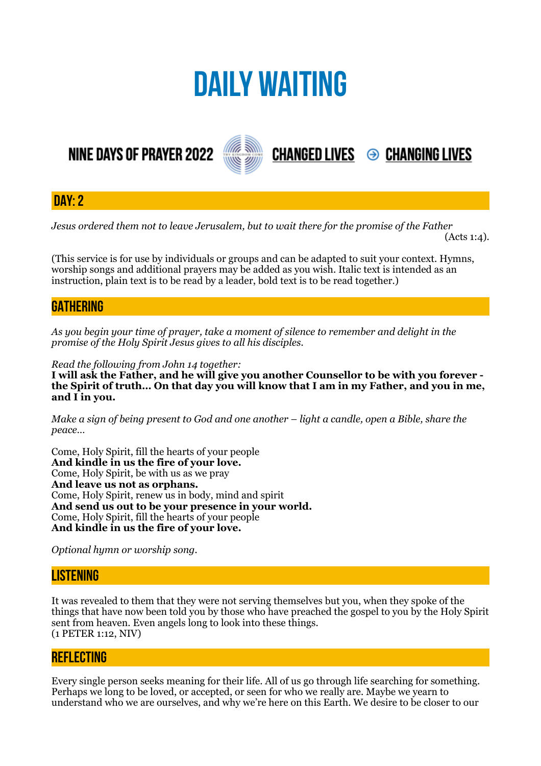# **DAILY WAITING**

## **NINE DAYS OF PRAYER 2022**



**DAY: 2**

*Jesus ordered them not to leave Jerusalem, but to wait there for the promise of the Father* 

 $(Acts 1:4)$ .

**CHANGED LIVES 
<sup>●</sup> CHANGING LIVES** 

(This service is for use by individuals or groups and can be adapted to suit your context. Hymns, worship songs and additional prayers may be added as you wish. Italic text is intended as an instruction, plain text is to be read by a leader, bold text is to be read together.)

### **GATHERING**

*As you begin your time of prayer, take a moment of silence to remember and delight in the promise of the Holy Spirit Jesus gives to all his disciples.*

*Read the following from John 14 together:* 

**I will ask the Father, and he will give you another Counsellor to be with you forever the Spirit of truth… On that day you will know that I am in my Father, and you in me, and I in you.** 

*Make a sign of being present to God and one another – light a candle, open a Bible, share the peace…* 

Come, Holy Spirit, fill the hearts of your people **And kindle in us the fire of your love.**  Come, Holy Spirit, be with us as we pray **And leave us not as orphans.**  Come, Holy Spirit, renew us in body, mind and spirit **And send us out to be your presence in your world.**  Come, Holy Spirit, fill the hearts of your people **And kindle in us the fire of your love.** 

*Optional hymn or worship song.* 

#### **LISTENING**

It was revealed to them that they were not serving themselves but you, when they spoke of the things that have now been told you by those who have preached the gospel to you by the Holy Spirit sent from heaven. Even angels long to look into these things. (1 PETER 1:12, NIV)

#### **REFLECTING**

Every single person seeks meaning for their life. All of us go through life searching for something. Perhaps we long to be loved, or accepted, or seen for who we really are. Maybe we yearn to understand who we are ourselves, and why we're here on this Earth. We desire to be closer to our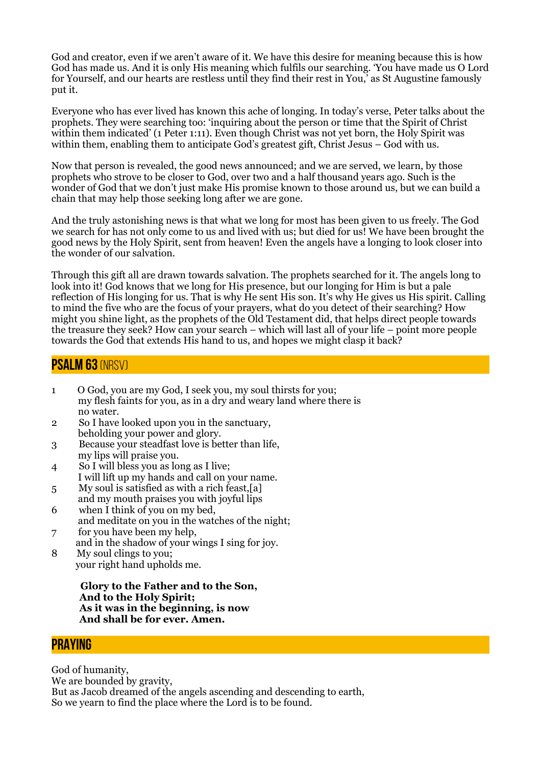God and creator, even if we aren't aware of it. We have this desire for meaning because this is how God has made us. And it is only His meaning which fulfils our searching. 'You have made us O Lord for Yourself, and our hearts are restless until they find their rest in You,' as St Augustine famously put it.

Everyone who has ever lived has known this ache of longing. In today's verse, Peter talks about the prophets. They were searching too: 'inquiring about the person or time that the Spirit of Christ within them indicated' (1 Peter 1:11). Even though Christ was not yet born, the Holy Spirit was within them, enabling them to anticipate God's greatest gift, Christ Jesus – God with us.

Now that person is revealed, the good news announced; and we are served, we learn, by those prophets who strove to be closer to God, over two and a half thousand years ago. Such is the wonder of God that we don't just make His promise known to those around us, but we can build a chain that may help those seeking long after we are gone.

And the truly astonishing news is that what we long for most has been given to us freely. The God we search for has not only come to us and lived with us; but died for us! We have been brought the good news by the Holy Spirit, sent from heaven! Even the angels have a longing to look closer into the wonder of our salvation.

Through this gift all are drawn towards salvation. The prophets searched for it. The angels long to look into it! God knows that we long for His presence, but our longing for Him is but a pale reflection of His longing for us. That is why He sent His son. It's why He gives us His spirit. Calling to mind the five who are the focus of your prayers, what do you detect of their searching? How might you shine light, as the prophets of the Old Testament did, that helps direct people towards the treasure they seek? How can your search – which will last all of your life – point more people towards the God that extends His hand to us, and hopes we might clasp it back?

#### **Psalm 63** (NRSV)

- 1 O God, you are my God, I seek you, my soul thirsts for you; my flesh faints for you, as in a dry and weary land where there is no water.
- 2 So I have looked upon you in the sanctuary, beholding your power and glory.
- 3 Because your steadfast love is better than life, my lips will praise you.
- 4 So I will bless you as long as I live; I will lift up my hands and call on your name.
- 5 My soul is satisfied as with a rich feast,[a]
- and my mouth praises you with joyful lips 6 when I think of you on my bed,
- and meditate on you in the watches of the night;
- 7 for you have been my help, and in the shadow of your wings I sing for joy.
- 8 My soul clings to you; your right hand upholds me.

 **Glory to the Father and to the Son, And to the Holy Spirit; As it was in the beginning, is now And shall be for ever. Amen.**

#### **PRAYING**

God of humanity, We are bounded by gravity. But as Jacob dreamed of the angels ascending and descending to earth, So we yearn to find the place where the Lord is to be found.